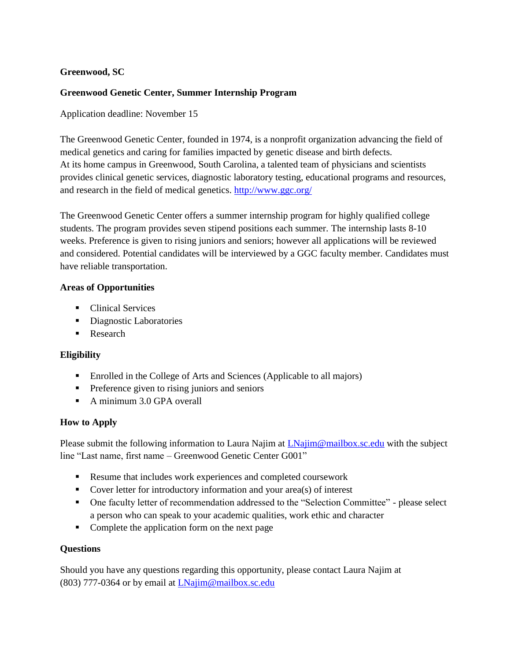# **Greenwood, SC**

### **Greenwood Genetic Center, Summer Internship Program**

Application deadline: November 15

The Greenwood Genetic Center, founded in 1974, is a nonprofit organization advancing the field of medical genetics and caring for families impacted by genetic disease and birth defects. At its home campus in Greenwood, South Carolina, a talented team of physicians and scientists provides clinical genetic services, diagnostic laboratory testing, educational programs and resources, and research in the field of medical genetics. <http://www.ggc.org/>

The Greenwood Genetic Center offers a summer internship program for highly qualified college students. The program provides seven stipend positions each summer. The internship lasts 8-10 weeks. Preference is given to rising juniors and seniors; however all applications will be reviewed and considered. Potential candidates will be interviewed by a GGC faculty member. Candidates must have reliable transportation.

#### **Areas of Opportunities**

- Clinical Services
- Diagnostic Laboratories
- Research

# **Eligibility**

- Enrolled in the College of Arts and Sciences (Applicable to all majors)
- **•** Preference given to rising juniors and seniors
- A minimum 3.0 GPA overall

# **How to Apply**

Please submit the following information to Laura Najim at [LNajim@mailbox.sc.edu](mailto:LNajim@mailbox.sc.edu) with the subject line "Last name, first name – Greenwood Genetic Center G001"

- Resume that includes work experiences and completed coursework
- Cover letter for introductory information and your area(s) of interest
- One faculty letter of recommendation addressed to the "Selection Committee" please select a person who can speak to your academic qualities, work ethic and character
- Complete the application form [on](Greenwood%20Genetic%20Center%20Internship%20Application.doc) the next page

#### **Questions**

Should you have any questions regarding this opportunity, please contact Laura Najim at (803) 777-0364 or by email at [LNajim@mailbox.sc.edu](mailto:LNajim@mailbox.sc.edu)